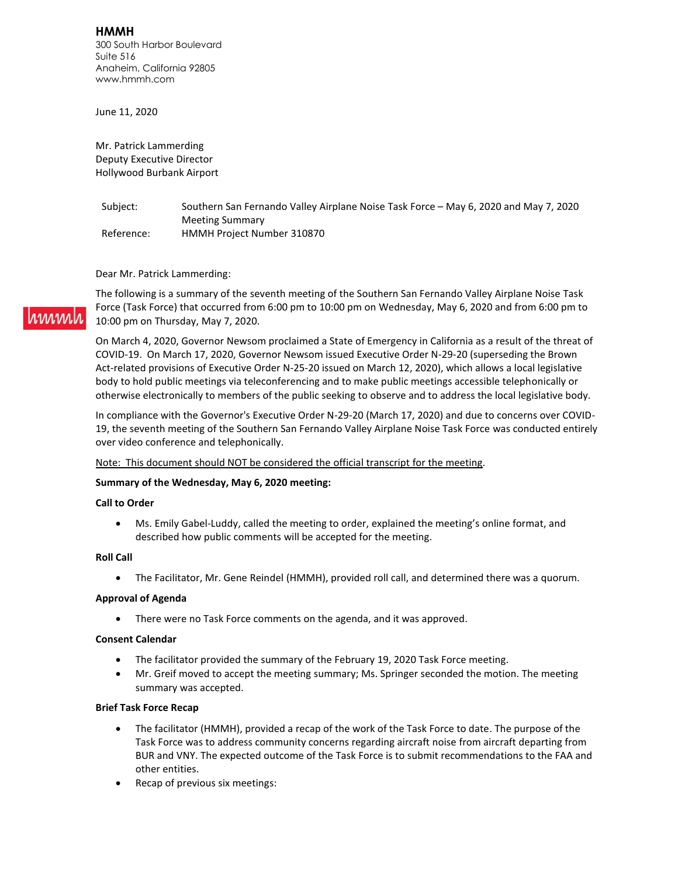**HMMH** 300 South Harbor Boulevard Suite 516 Anaheim, California 92805 www.hmmh.com

June 11, 2020

Mr. Patrick Lammerding Deputy Executive Director Hollywood Burbank Airport

Subject: Southern San Fernando Valley Airplane Noise Task Force – May 6, 2020 and May 7, 2020 Meeting Summary Reference: HMMH Project Number 310870

Dear Mr. Patrick Lammerding:

The following is a summary of the seventh meeting of the Southern San Fernando Valley Airplane Noise Task Force (Task Force) that occurred from 6:00 pm to 10:00 pm on Wednesday, May 6, 2020 and from 6:00 pm to 10:00 pm on Thursday, May 7, 2020.

On March 4, 2020, Governor Newsom proclaimed a State of Emergency in California as a result of the threat of COVID-19. On March 17, 2020, Governor Newsom issued Executive Order N-29-20 (superseding the Brown Act-related provisions of Executive Order N-25-20 issued on March 12, 2020), which allows a local legislative body to hold public meetings via teleconferencing and to make public meetings accessible telephonically or otherwise electronically to members of the public seeking to observe and to address the local legislative body.

In compliance with the Governor's Executive Order N-29-20 (March 17, 2020) and due to concerns over COVID-19, the seventh meeting of the Southern San Fernando Valley Airplane Noise Task Force was conducted entirely over video conference and telephonically.

#### Note: This document should NOT be considered the official transcript for the meeting.

#### **Summary of the Wednesday, May 6, 2020 meeting:**

#### **Call to Order**

• Ms. Emily Gabel-Luddy, called the meeting to order, explained the meeting's online format, and described how public comments will be accepted for the meeting.

#### **Roll Call**

www.h

• The Facilitator, Mr. Gene Reindel (HMMH), provided roll call, and determined there was a quorum.

#### **Approval of Agenda**

• There were no Task Force comments on the agenda, and it was approved.

#### **Consent Calendar**

- The facilitator provided the summary of the February 19, 2020 Task Force meeting.
- Mr. Greif moved to accept the meeting summary; Ms. Springer seconded the motion. The meeting summary was accepted.

#### **Brief Task Force Recap**

- The facilitator (HMMH), provided a recap of the work of the Task Force to date. The purpose of the Task Force was to address community concerns regarding aircraft noise from aircraft departing from BUR and VNY. The expected outcome of the Task Force is to submit recommendations to the FAA and other entities.
- Recap of previous six meetings: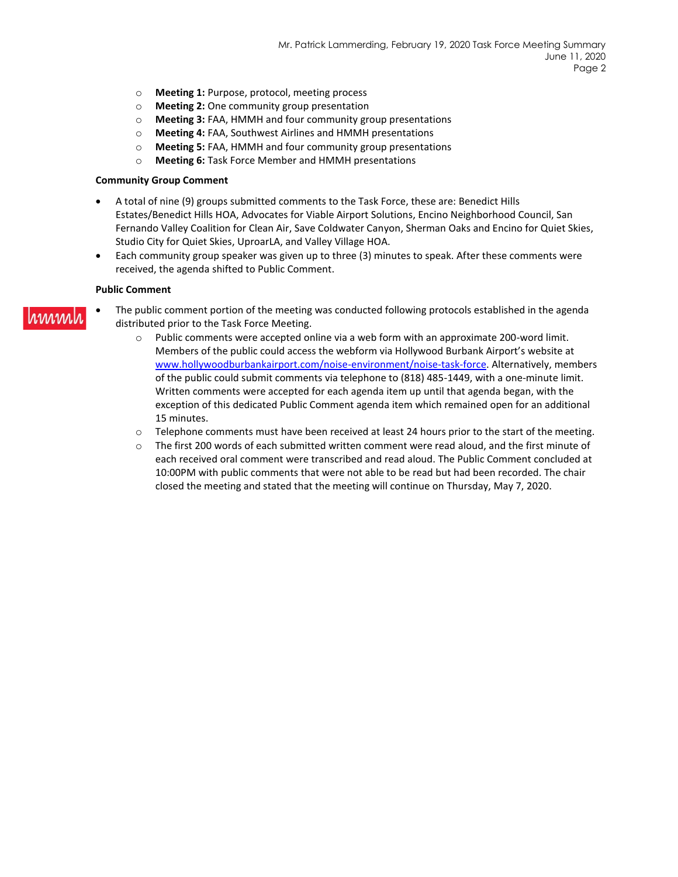- o **Meeting 1:** Purpose, protocol, meeting process
- o **Meeting 2:** One community group presentation
- o **Meeting 3:** FAA, HMMH and four community group presentations
- o **Meeting 4:** FAA, Southwest Airlines and HMMH presentations
- o **Meeting 5:** FAA, HMMH and four community group presentations
- o **Meeting 6:** Task Force Member and HMMH presentations

#### **Community Group Comment**

- A total of nine (9) groups submitted comments to the Task Force, these are: Benedict Hills Estates/Benedict Hills HOA, Advocates for Viable Airport Solutions, Encino Neighborhood Council, San Fernando Valley Coalition for Clean Air, Save Coldwater Canyon, Sherman Oaks and Encino for Quiet Skies, Studio City for Quiet Skies, UproarLA, and Valley Village HOA.
- Each community group speaker was given up to three (3) minutes to speak. After these comments were received, the agenda shifted to Public Comment.

#### **Public Comment**

- The public comment portion of the meeting was conducted following protocols established in the agenda **MMMM** distributed prior to the Task Force Meeting.
	- $\circ$  Public comments were accepted online via a web form with an approximate 200-word limit. Members of the public could access the webform via Hollywood Burbank Airport's website at [www.hollywoodburbankairport.com/noise-environment/noise-task-force.](http://www.hollywoodburbankairport.com/noise-environment/noise-task-force) Alternatively, members of the public could submit comments via telephone to (818) 485-1449, with a one-minute limit. Written comments were accepted for each agenda item up until that agenda began, with the exception of this dedicated Public Comment agenda item which remained open for an additional 15 minutes.
	- $\circ$  Telephone comments must have been received at least 24 hours prior to the start of the meeting.
	- o The first 200 words of each submitted written comment were read aloud, and the first minute of each received oral comment were transcribed and read aloud. The Public Comment concluded at 10:00PM with public comments that were not able to be read but had been recorded. The chair closed the meeting and stated that the meeting will continue on Thursday, May 7, 2020.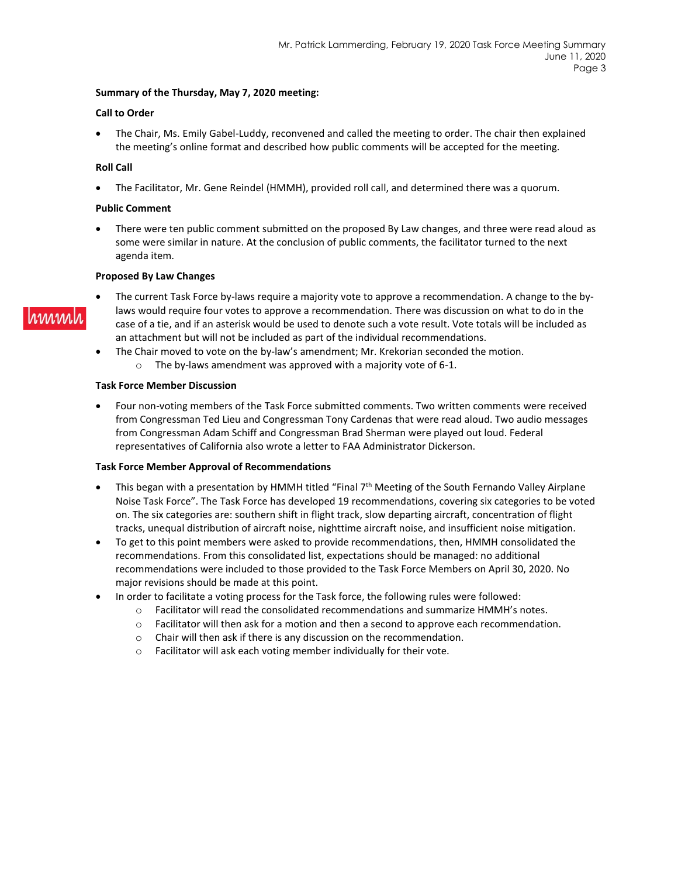#### **Summary of the Thursday, May 7, 2020 meeting:**

## **Call to Order**

• The Chair, Ms. Emily Gabel-Luddy, reconvened and called the meeting to order. The chair then explained the meeting's online format and described how public comments will be accepted for the meeting.

## **Roll Call**

• The Facilitator, Mr. Gene Reindel (HMMH), provided roll call, and determined there was a quorum.

#### **Public Comment**

• There were ten public comment submitted on the proposed By Law changes, and three were read aloud as some were similar in nature. At the conclusion of public comments, the facilitator turned to the next agenda item.

## **Proposed By Law Changes**

- ımmı
- The current Task Force by-laws require a majority vote to approve a recommendation. A change to the bylaws would require four votes to approve a recommendation. There was discussion on what to do in the case of a tie, and if an asterisk would be used to denote such a vote result. Vote totals will be included as an attachment but will not be included as part of the individual recommendations.
- The Chair moved to vote on the by-law's amendment; Mr. Krekorian seconded the motion. o The by-laws amendment was approved with a majority vote of 6-1.

#### **Task Force Member Discussion**

• Four non-voting members of the Task Force submitted comments. Two written comments were received from Congressman Ted Lieu and Congressman Tony Cardenas that were read aloud. Two audio messages from Congressman Adam Schiff and Congressman Brad Sherman were played out loud. Federal representatives of California also wrote a letter to FAA Administrator Dickerson.

#### **Task Force Member Approval of Recommendations**

- This began with a presentation by HMMH titled "Final  $7<sup>th</sup>$  Meeting of the South Fernando Valley Airplane Noise Task Force". The Task Force has developed 19 recommendations, covering six categories to be voted on. The six categories are: southern shift in flight track, slow departing aircraft, concentration of flight tracks, unequal distribution of aircraft noise, nighttime aircraft noise, and insufficient noise mitigation.
- To get to this point members were asked to provide recommendations, then, HMMH consolidated the recommendations. From this consolidated list, expectations should be managed: no additional recommendations were included to those provided to the Task Force Members on April 30, 2020. No major revisions should be made at this point.
- In order to facilitate a voting process for the Task force, the following rules were followed:
	- $\circ$  Facilitator will read the consolidated recommendations and summarize HMMH's notes.
	- $\circ$  Facilitator will then ask for a motion and then a second to approve each recommendation.
	- o Chair will then ask if there is any discussion on the recommendation.
	- o Facilitator will ask each voting member individually for their vote.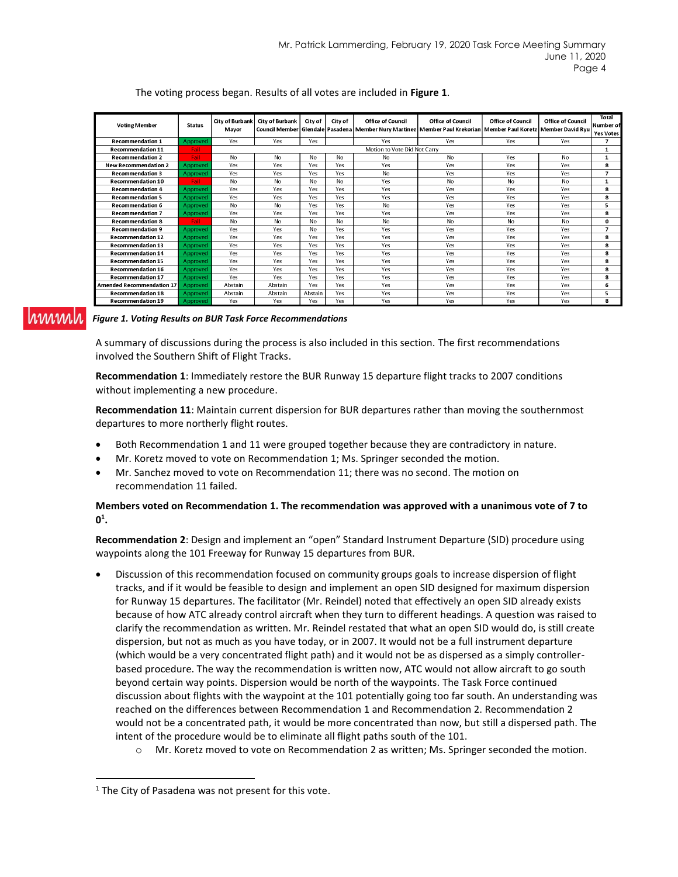| <b>Voting Member</b>        | <b>Status</b> | <b>City of Burbank</b><br>Mayor | City of Burbank | City of        | City of   | <b>Office of Council</b> | <b>Office of Council</b><br>Council Member Glendale Pasadena Member Nury Martinez Member Paul Krekorian Member Paul Koretz Member David Ryu | Office of Council | <b>Office of Council</b> | <b>Total</b><br>Number of<br>Yes Votes |
|-----------------------------|---------------|---------------------------------|-----------------|----------------|-----------|--------------------------|---------------------------------------------------------------------------------------------------------------------------------------------|-------------------|--------------------------|----------------------------------------|
| <b>Recommendation 1</b>     | Approved      | Yes                             | Yes             | Yes            |           | Yes                      | Yes                                                                                                                                         | Yes               | Yes                      | 7                                      |
| <b>Recommendation 11</b>    | Fail          | Motion to Vote Did Not Carry    |                 |                |           |                          |                                                                                                                                             |                   |                          | $\mathbf{1}$                           |
| <b>Recommendation 2</b>     | Fail          | N <sub>o</sub>                  | No              | No             | No        | No                       | No                                                                                                                                          | Yes               | <b>No</b>                | $\mathbf{1}$                           |
| <b>New Recommendation 2</b> | Approved      | Yes                             | Yes             | Yes            | Yes       | Yes                      | Yes                                                                                                                                         | Yes               | Yes                      | s                                      |
| <b>Recommendation 3</b>     | Approved      | Yes                             | Yes             | Yes            | Yes       | <b>No</b>                | Yes                                                                                                                                         | Yes               | Yes                      | 7                                      |
| <b>Recommendation 10</b>    | Fail          | No                              | <b>No</b>       | No             | <b>No</b> | Yes                      | <b>No</b>                                                                                                                                   | <b>No</b>         | No.                      | 1                                      |
| <b>Recommendation 4</b>     | Approved      | Yes                             | Yes             | Yes            | Yes       | Yes                      | Yes                                                                                                                                         | Yes               | Yes                      | 8                                      |
| <b>Recommendation 5</b>     | Approved      | Yes                             | Yes             | Yes            | Yes       | Yes                      | Yes                                                                                                                                         | Yes               | Yes                      | 8                                      |
| <b>Recommendation 6</b>     | Approved      | <b>No</b>                       | <b>No</b>       | Yes            | Yes       | <b>No</b>                | Yes                                                                                                                                         | Yes               | Yes                      | 5                                      |
| <b>Recommendation 7</b>     | Approved      | Yes                             | Yes             | Yes            | Yes       | Yes                      | Yes                                                                                                                                         | Yes               | Yes                      | 8                                      |
| <b>Recommendation 8</b>     | Fail          | No.                             | <b>No</b>       | No             | No        | <b>No</b>                | <b>No</b>                                                                                                                                   | <b>No</b>         | <b>No</b>                | 0                                      |
| <b>Recommendation 9</b>     | Approved      | Yes                             | Yes             | N <sub>0</sub> | Yes       | Yes                      | Yes                                                                                                                                         | Yes               | Yes                      | $\overline{\phantom{a}}$               |
| <b>Recommendation 12</b>    | Approved      | Yes                             | Yes             | Yes            | Yes       | Yes                      | Yes                                                                                                                                         | Yes               | Yes                      | 8                                      |
| <b>Recommendation 13</b>    | Approved      | Yes                             | Yes             | Yes            | Yes       | Yes                      | <b>Yes</b>                                                                                                                                  | Yes               | Yes                      | 8                                      |
| <b>Recommendation 14</b>    | Approved      | Yes                             | Yes             | Yes            | Yes       | Yes                      | Yes                                                                                                                                         | Yes               | Yes                      | 8                                      |
| <b>Recommendation 15</b>    | Approved      | Yes                             | Yes             | Yes            | Yes       | Yes                      | Yes                                                                                                                                         | Yes               | Yes                      | 8                                      |
| <b>Recommendation 16</b>    | Approved      | Yes                             | Yes             | Yes            | Yes       | Yes                      | Yes                                                                                                                                         | Yes               | <b>Yes</b>               | 8                                      |
| <b>Recommendation 17</b>    | Approved      | Yes                             | Yes             | Yes            | Yes       | Yes                      | Yes                                                                                                                                         | Yes               | Yes                      | 8                                      |
| Amended Recommendation 17   | Approved      | Abstain                         | Abstain         | Yes            | Yes       | Yes                      | Yes                                                                                                                                         | Yes               | Yes                      | 6                                      |
| <b>Recommendation 18</b>    | Approved      | Abstain                         | Abstain         | Abstain        | Yes       | Yes                      | Yes                                                                                                                                         | Yes               | Yes                      | 5                                      |
| <b>Recommendation 19</b>    | Approved      | Yes                             | Yes             | Yes            | Yes       | Yes                      | Yes                                                                                                                                         | Yes               | Yes                      | 8                                      |

#### The voting process began. Results of all votes are included in **[Figure 1](#page-3-0)**.

## hinnin

## <span id="page-3-0"></span>*Figure 1. Voting Results on BUR Task Force Recommendations*

A summary of discussions during the process is also included in this section. The first recommendations involved the Southern Shift of Flight Tracks.

**Recommendation 1**: Immediately restore the BUR Runway 15 departure flight tracks to 2007 conditions without implementing a new procedure.

**Recommendation 11**: Maintain current dispersion for BUR departures rather than moving the southernmost departures to more northerly flight routes.

- Both Recommendation 1 and 11 were grouped together because they are contradictory in nature.
- Mr. Koretz moved to vote on Recommendation 1; Ms. Springer seconded the motion.
- Mr. Sanchez moved to vote on Recommendation 11; there was no second. The motion on recommendation 11 failed.

#### **Members voted on Recommendation 1. The recommendation was approved with a unanimous vote of 7 to 0 1 .**

**Recommendation 2**: Design and implement an "open" Standard Instrument Departure (SID) procedure using waypoints along the 101 Freeway for Runway 15 departures from BUR.

- Discussion of this recommendation focused on community groups goals to increase dispersion of flight tracks, and if it would be feasible to design and implement an open SID designed for maximum dispersion for Runway 15 departures. The facilitator (Mr. Reindel) noted that effectively an open SID already exists because of how ATC already control aircraft when they turn to different headings. A question was raised to clarify the recommendation as written. Mr. Reindel restated that what an open SID would do, is still create dispersion, but not as much as you have today, or in 2007. It would not be a full instrument departure (which would be a very concentrated flight path) and it would not be as dispersed as a simply controllerbased procedure. The way the recommendation is written now, ATC would not allow aircraft to go south beyond certain way points. Dispersion would be north of the waypoints. The Task Force continued discussion about flights with the waypoint at the 101 potentially going too far south. An understanding was reached on the differences between Recommendation 1 and Recommendation 2. Recommendation 2 would not be a concentrated path, it would be more concentrated than now, but still a dispersed path. The intent of the procedure would be to eliminate all flight paths south of the 101.
	- o Mr. Koretz moved to vote on Recommendation 2 as written; Ms. Springer seconded the motion.

<sup>&</sup>lt;sup>1</sup> The City of Pasadena was not present for this vote.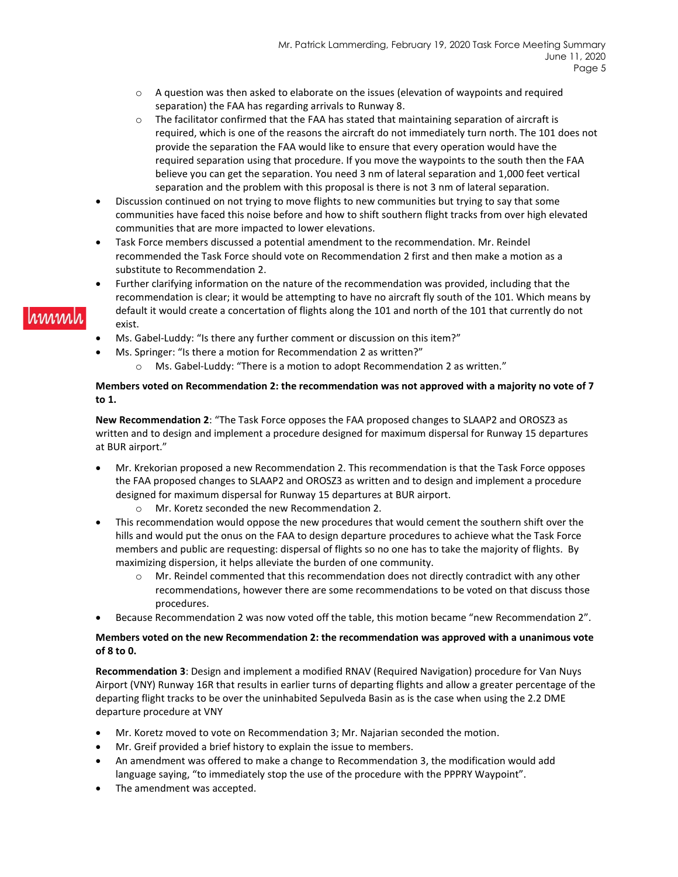- $\circ$  A question was then asked to elaborate on the issues (elevation of waypoints and required separation) the FAA has regarding arrivals to Runway 8.
- $\circ$  The facilitator confirmed that the FAA has stated that maintaining separation of aircraft is required, which is one of the reasons the aircraft do not immediately turn north. The 101 does not provide the separation the FAA would like to ensure that every operation would have the required separation using that procedure. If you move the waypoints to the south then the FAA believe you can get the separation. You need 3 nm of lateral separation and 1,000 feet vertical separation and the problem with this proposal is there is not 3 nm of lateral separation.
- Discussion continued on not trying to move flights to new communities but trying to say that some communities have faced this noise before and how to shift southern flight tracks from over high elevated communities that are more impacted to lower elevations.
- Task Force members discussed a potential amendment to the recommendation. Mr. Reindel recommended the Task Force should vote on Recommendation 2 first and then make a motion as a substitute to Recommendation 2.
- Further clarifying information on the nature of the recommendation was provided, including that the recommendation is clear; it would be attempting to have no aircraft fly south of the 101. Which means by default it would create a concertation of flights along the 101 and north of the 101 that currently do not exist.
- Ms. Gabel-Luddy: "Is there any further comment or discussion on this item?"
- Ms. Springer: "Is there a motion for Recommendation 2 as written?"

เทาพบ

o Ms. Gabel-Luddy: "There is a motion to adopt Recommendation 2 as written."

## **Members voted on Recommendation 2: the recommendation was not approved with a majority no vote of 7 to 1.**

**New Recommendation 2**: "The Task Force opposes the FAA proposed changes to SLAAP2 and OROSZ3 as written and to design and implement a procedure designed for maximum dispersal for Runway 15 departures at BUR airport."

- Mr. Krekorian proposed a new Recommendation 2. This recommendation is that the Task Force opposes the FAA proposed changes to SLAAP2 and OROSZ3 as written and to design and implement a procedure designed for maximum dispersal for Runway 15 departures at BUR airport.
	- o Mr. Koretz seconded the new Recommendation 2.
- This recommendation would oppose the new procedures that would cement the southern shift over the hills and would put the onus on the FAA to design departure procedures to achieve what the Task Force members and public are requesting: dispersal of flights so no one has to take the majority of flights. By maximizing dispersion, it helps alleviate the burden of one community.
	- $\circ$  Mr. Reindel commented that this recommendation does not directly contradict with any other recommendations, however there are some recommendations to be voted on that discuss those procedures.
- Because Recommendation 2 was now voted off the table, this motion became "new Recommendation 2".

## **Members voted on the new Recommendation 2: the recommendation was approved with a unanimous vote of 8 to 0.**

**Recommendation 3**: Design and implement a modified RNAV (Required Navigation) procedure for Van Nuys Airport (VNY) Runway 16R that results in earlier turns of departing flights and allow a greater percentage of the departing flight tracks to be over the uninhabited Sepulveda Basin as is the case when using the 2.2 DME departure procedure at VNY

- Mr. Koretz moved to vote on Recommendation 3; Mr. Najarian seconded the motion.
- Mr. Greif provided a brief history to explain the issue to members.
- An amendment was offered to make a change to Recommendation 3, the modification would add language saying, "to immediately stop the use of the procedure with the PPPRY Waypoint".
- The amendment was accepted.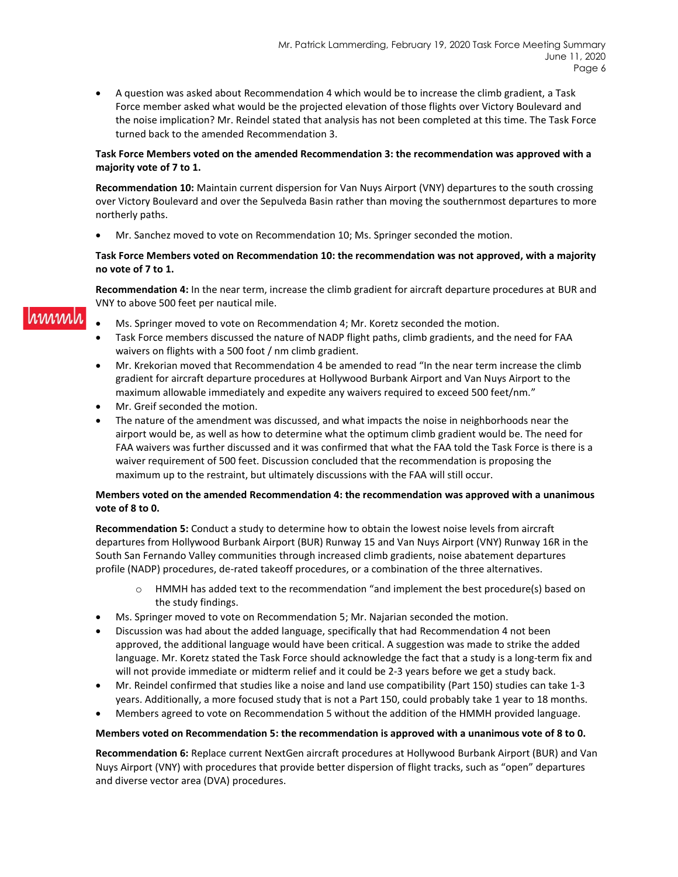• A question was asked about Recommendation 4 which would be to increase the climb gradient, a Task Force member asked what would be the projected elevation of those flights over Victory Boulevard and the noise implication? Mr. Reindel stated that analysis has not been completed at this time. The Task Force turned back to the amended Recommendation 3.

## **Task Force Members voted on the amended Recommendation 3: the recommendation was approved with a majority vote of 7 to 1.**

**Recommendation 10:** Maintain current dispersion for Van Nuys Airport (VNY) departures to the south crossing over Victory Boulevard and over the Sepulveda Basin rather than moving the southernmost departures to more northerly paths.

• Mr. Sanchez moved to vote on Recommendation 10; Ms. Springer seconded the motion.

## **Task Force Members voted on Recommendation 10: the recommendation was not approved, with a majority no vote of 7 to 1.**

**Recommendation 4:** In the near term, increase the climb gradient for aircraft departure procedures at BUR and VNY to above 500 feet per nautical mile.

# rinnin

- Ms. Springer moved to vote on Recommendation 4; Mr. Koretz seconded the motion.
- Task Force members discussed the nature of NADP flight paths, climb gradients, and the need for FAA waivers on flights with a 500 foot / nm climb gradient.
- Mr. Krekorian moved that Recommendation 4 be amended to read "In the near term increase the climb gradient for aircraft departure procedures at Hollywood Burbank Airport and Van Nuys Airport to the maximum allowable immediately and expedite any waivers required to exceed 500 feet/nm."
- Mr. Greif seconded the motion.
- The nature of the amendment was discussed, and what impacts the noise in neighborhoods near the airport would be, as well as how to determine what the optimum climb gradient would be. The need for FAA waivers was further discussed and it was confirmed that what the FAA told the Task Force is there is a waiver requirement of 500 feet. Discussion concluded that the recommendation is proposing the maximum up to the restraint, but ultimately discussions with the FAA will still occur.

## **Members voted on the amended Recommendation 4: the recommendation was approved with a unanimous vote of 8 to 0.**

**Recommendation 5:** Conduct a study to determine how to obtain the lowest noise levels from aircraft departures from Hollywood Burbank Airport (BUR) Runway 15 and Van Nuys Airport (VNY) Runway 16R in the South San Fernando Valley communities through increased climb gradients, noise abatement departures profile (NADP) procedures, de-rated takeoff procedures, or a combination of the three alternatives.

- o HMMH has added text to the recommendation "and implement the best procedure(s) based on the study findings.
- Ms. Springer moved to vote on Recommendation 5; Mr. Najarian seconded the motion.
- Discussion was had about the added language, specifically that had Recommendation 4 not been approved, the additional language would have been critical. A suggestion was made to strike the added language. Mr. Koretz stated the Task Force should acknowledge the fact that a study is a long-term fix and will not provide immediate or midterm relief and it could be 2-3 years before we get a study back.
- Mr. Reindel confirmed that studies like a noise and land use compatibility (Part 150) studies can take 1-3 years. Additionally, a more focused study that is not a Part 150, could probably take 1 year to 18 months.
- Members agreed to vote on Recommendation 5 without the addition of the HMMH provided language.

#### **Members voted on Recommendation 5: the recommendation is approved with a unanimous vote of 8 to 0.**

**Recommendation 6:** Replace current NextGen aircraft procedures at Hollywood Burbank Airport (BUR) and Van Nuys Airport (VNY) with procedures that provide better dispersion of flight tracks, such as "open" departures and diverse vector area (DVA) procedures.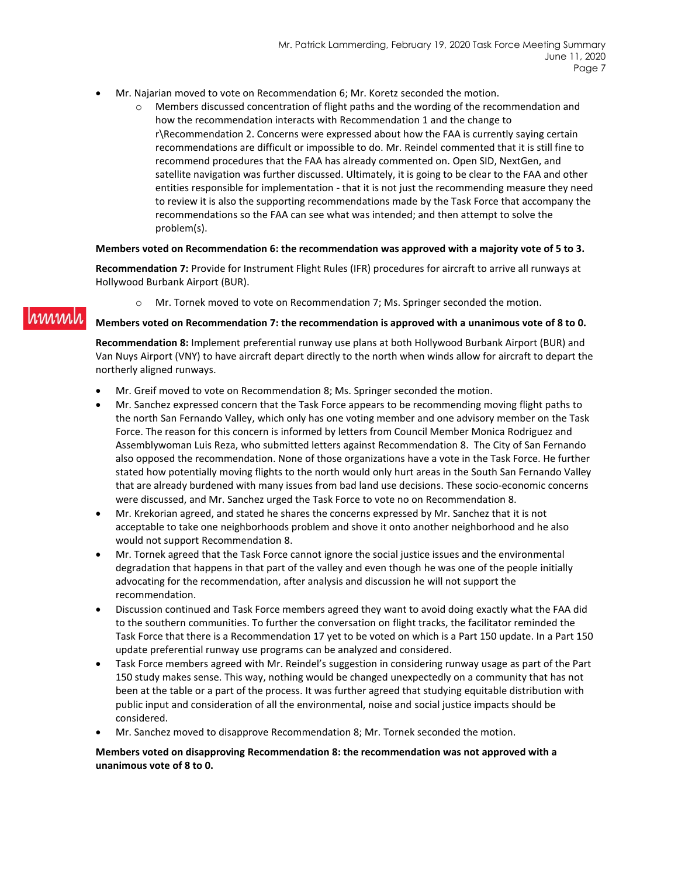- Mr. Najarian moved to vote on Recommendation 6; Mr. Koretz seconded the motion.
	- $\circ$  Members discussed concentration of flight paths and the wording of the recommendation and how the recommendation interacts with Recommendation 1 and the change to r\Recommendation 2. Concerns were expressed about how the FAA is currently saying certain recommendations are difficult or impossible to do. Mr. Reindel commented that it is still fine to recommend procedures that the FAA has already commented on. Open SID, NextGen, and satellite navigation was further discussed. Ultimately, it is going to be clear to the FAA and other entities responsible for implementation - that it is not just the recommending measure they need to review it is also the supporting recommendations made by the Task Force that accompany the recommendations so the FAA can see what was intended; and then attempt to solve the problem(s).

#### **Members voted on Recommendation 6: the recommendation was approved with a majority vote of 5 to 3.**

**Recommendation 7:** Provide for Instrument Flight Rules (IFR) procedures for aircraft to arrive all runways at Hollywood Burbank Airport (BUR).

o Mr. Tornek moved to vote on Recommendation 7; Ms. Springer seconded the motion.

#### **Members voted on Recommendation 7: the recommendation is approved with a unanimous vote of 8 to 0.**

**Recommendation 8:** Implement preferential runway use plans at both Hollywood Burbank Airport (BUR) and Van Nuys Airport (VNY) to have aircraft depart directly to the north when winds allow for aircraft to depart the northerly aligned runways.

• Mr. Greif moved to vote on Recommendation 8; Ms. Springer seconded the motion.

hinni

- Mr. Sanchez expressed concern that the Task Force appears to be recommending moving flight paths to the north San Fernando Valley, which only has one voting member and one advisory member on the Task Force. The reason for this concern is informed by letters from Council Member Monica Rodriguez and Assemblywoman Luis Reza, who submitted letters against Recommendation 8. The City of San Fernando also opposed the recommendation. None of those organizations have a vote in the Task Force. He further stated how potentially moving flights to the north would only hurt areas in the South San Fernando Valley that are already burdened with many issues from bad land use decisions. These socio-economic concerns were discussed, and Mr. Sanchez urged the Task Force to vote no on Recommendation 8.
- Mr. Krekorian agreed, and stated he shares the concerns expressed by Mr. Sanchez that it is not acceptable to take one neighborhoods problem and shove it onto another neighborhood and he also would not support Recommendation 8.
- Mr. Tornek agreed that the Task Force cannot ignore the social justice issues and the environmental degradation that happens in that part of the valley and even though he was one of the people initially advocating for the recommendation, after analysis and discussion he will not support the recommendation.
- Discussion continued and Task Force members agreed they want to avoid doing exactly what the FAA did to the southern communities. To further the conversation on flight tracks, the facilitator reminded the Task Force that there is a Recommendation 17 yet to be voted on which is a Part 150 update. In a Part 150 update preferential runway use programs can be analyzed and considered.
- Task Force members agreed with Mr. Reindel's suggestion in considering runway usage as part of the Part 150 study makes sense. This way, nothing would be changed unexpectedly on a community that has not been at the table or a part of the process. It was further agreed that studying equitable distribution with public input and consideration of all the environmental, noise and social justice impacts should be considered.
- Mr. Sanchez moved to disapprove Recommendation 8; Mr. Tornek seconded the motion.

#### **Members voted on disapproving Recommendation 8: the recommendation was not approved with a unanimous vote of 8 to 0.**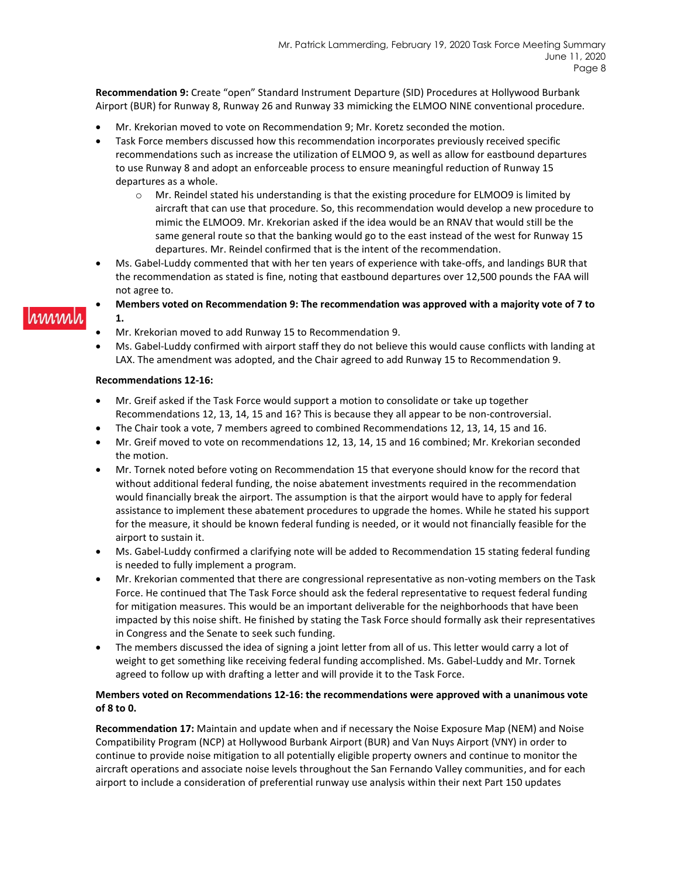**Recommendation 9:** Create "open" Standard Instrument Departure (SID) Procedures at Hollywood Burbank Airport (BUR) for Runway 8, Runway 26 and Runway 33 mimicking the ELMOO NINE conventional procedure.

- Mr. Krekorian moved to vote on Recommendation 9; Mr. Koretz seconded the motion.
- Task Force members discussed how this recommendation incorporates previously received specific recommendations such as increase the utilization of ELMOO 9, as well as allow for eastbound departures to use Runway 8 and adopt an enforceable process to ensure meaningful reduction of Runway 15 departures as a whole.
	- o Mr. Reindel stated his understanding is that the existing procedure for ELMOO9 is limited by aircraft that can use that procedure. So, this recommendation would develop a new procedure to mimic the ELMOO9. Mr. Krekorian asked if the idea would be an RNAV that would still be the same general route so that the banking would go to the east instead of the west for Runway 15 departures. Mr. Reindel confirmed that is the intent of the recommendation.
- Ms. Gabel-Luddy commented that with her ten years of experience with take-offs, and landings BUR that the recommendation as stated is fine, noting that eastbound departures over 12,500 pounds the FAA will not agree to.
- **Members voted on Recommendation 9: The recommendation was approved with a majority vote of 7 to**  rinnni **1.**
	- Mr. Krekorian moved to add Runway 15 to Recommendation 9.
	- Ms. Gabel-Luddy confirmed with airport staff they do not believe this would cause conflicts with landing at LAX. The amendment was adopted, and the Chair agreed to add Runway 15 to Recommendation 9.

## **Recommendations 12-16:**

- Mr. Greif asked if the Task Force would support a motion to consolidate or take up together Recommendations 12, 13, 14, 15 and 16? This is because they all appear to be non-controversial.
- The Chair took a vote, 7 members agreed to combined Recommendations 12, 13, 14, 15 and 16.
- Mr. Greif moved to vote on recommendations 12, 13, 14, 15 and 16 combined; Mr. Krekorian seconded the motion.
- Mr. Tornek noted before voting on Recommendation 15 that everyone should know for the record that without additional federal funding, the noise abatement investments required in the recommendation would financially break the airport. The assumption is that the airport would have to apply for federal assistance to implement these abatement procedures to upgrade the homes. While he stated his support for the measure, it should be known federal funding is needed, or it would not financially feasible for the airport to sustain it.
- Ms. Gabel-Luddy confirmed a clarifying note will be added to Recommendation 15 stating federal funding is needed to fully implement a program.
- Mr. Krekorian commented that there are congressional representative as non-voting members on the Task Force. He continued that The Task Force should ask the federal representative to request federal funding for mitigation measures. This would be an important deliverable for the neighborhoods that have been impacted by this noise shift. He finished by stating the Task Force should formally ask their representatives in Congress and the Senate to seek such funding.
- The members discussed the idea of signing a joint letter from all of us. This letter would carry a lot of weight to get something like receiving federal funding accomplished. Ms. Gabel-Luddy and Mr. Tornek agreed to follow up with drafting a letter and will provide it to the Task Force.

## **Members voted on Recommendations 12-16: the recommendations were approved with a unanimous vote of 8 to 0.**

**Recommendation 17:** Maintain and update when and if necessary the Noise Exposure Map (NEM) and Noise Compatibility Program (NCP) at Hollywood Burbank Airport (BUR) and Van Nuys Airport (VNY) in order to continue to provide noise mitigation to all potentially eligible property owners and continue to monitor the aircraft operations and associate noise levels throughout the San Fernando Valley communities, and for each airport to include a consideration of preferential runway use analysis within their next Part 150 updates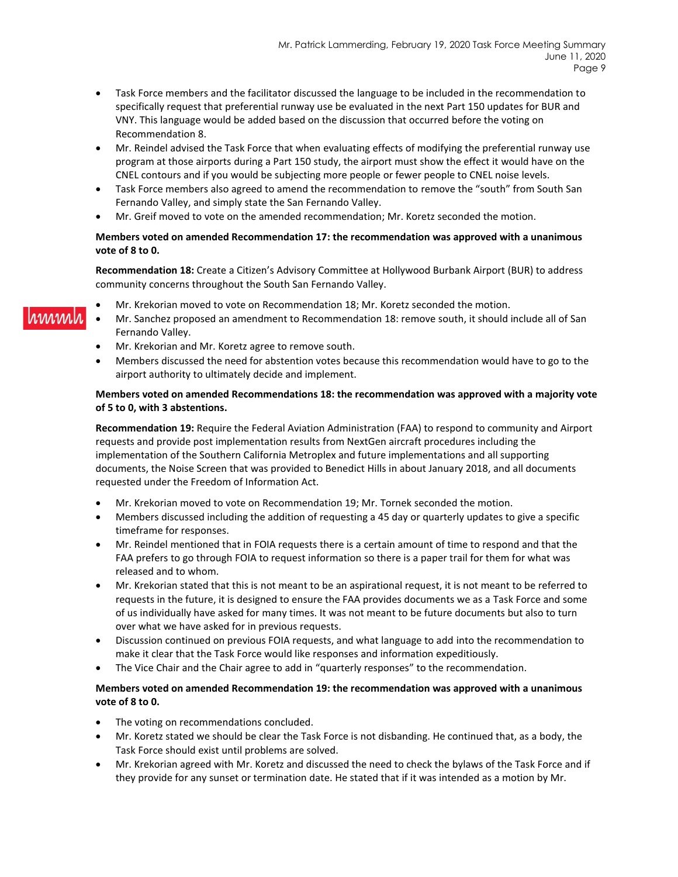- Task Force members and the facilitator discussed the language to be included in the recommendation to specifically request that preferential runway use be evaluated in the next Part 150 updates for BUR and VNY. This language would be added based on the discussion that occurred before the voting on Recommendation 8.
- Mr. Reindel advised the Task Force that when evaluating effects of modifying the preferential runway use program at those airports during a Part 150 study, the airport must show the effect it would have on the CNEL contours and if you would be subjecting more people or fewer people to CNEL noise levels.
- Task Force members also agreed to amend the recommendation to remove the "south" from South San Fernando Valley, and simply state the San Fernando Valley.
- Mr. Greif moved to vote on the amended recommendation; Mr. Koretz seconded the motion.

## **Members voted on amended Recommendation 17: the recommendation was approved with a unanimous vote of 8 to 0.**

**Recommendation 18:** Create a Citizen's Advisory Committee at Hollywood Burbank Airport (BUR) to address community concerns throughout the South San Fernando Valley.

- Mr. Krekorian moved to vote on Recommendation 18; Mr. Koretz seconded the motion.
- Mr. Sanchez proposed an amendment to Recommendation 18: remove south, it should include all of San Fernando Valley.
- Mr. Krekorian and Mr. Koretz agree to remove south.
- Members discussed the need for abstention votes because this recommendation would have to go to the airport authority to ultimately decide and implement.

## **Members voted on amended Recommendations 18: the recommendation was approved with a majority vote of 5 to 0, with 3 abstentions.**

**Recommendation 19:** Require the Federal Aviation Administration (FAA) to respond to community and Airport requests and provide post implementation results from NextGen aircraft procedures including the implementation of the Southern California Metroplex and future implementations and all supporting documents, the Noise Screen that was provided to Benedict Hills in about January 2018, and all documents requested under the Freedom of Information Act.

- Mr. Krekorian moved to vote on Recommendation 19; Mr. Tornek seconded the motion.
- Members discussed including the addition of requesting a 45 day or quarterly updates to give a specific timeframe for responses.
- Mr. Reindel mentioned that in FOIA requests there is a certain amount of time to respond and that the FAA prefers to go through FOIA to request information so there is a paper trail for them for what was released and to whom.
- Mr. Krekorian stated that this is not meant to be an aspirational request, it is not meant to be referred to requests in the future, it is designed to ensure the FAA provides documents we as a Task Force and some of us individually have asked for many times. It was not meant to be future documents but also to turn over what we have asked for in previous requests.
- Discussion continued on previous FOIA requests, and what language to add into the recommendation to make it clear that the Task Force would like responses and information expeditiously.
- The Vice Chair and the Chair agree to add in "quarterly responses" to the recommendation.

## **Members voted on amended Recommendation 19: the recommendation was approved with a unanimous vote of 8 to 0.**

- The voting on recommendations concluded.
- Mr. Koretz stated we should be clear the Task Force is not disbanding. He continued that, as a body, the Task Force should exist until problems are solved.
- Mr. Krekorian agreed with Mr. Koretz and discussed the need to check the bylaws of the Task Force and if they provide for any sunset or termination date. He stated that if it was intended as a motion by Mr.

## ımmı